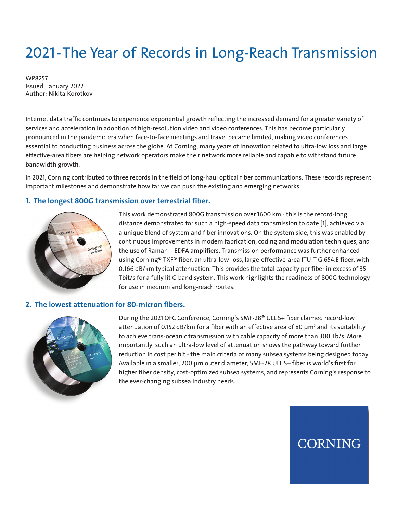# 2021-The Year of Records in Long-Reach Transmission

WP8257 Issued: January 2022 Author: Nikita Korotkov

Internet data traffic continues to experience exponential growth reflecting the increased demand for a greater variety of services and acceleration in adoption of high-resolution video and video conferences. This has become particularly pronounced in the pandemic era when face-to-face meetings and travel became limited, making video conferences essential to conducting business across the globe. At Corning, many years of innovation related to ultra-low loss and large effective-area fibers are helping network operators make their network more reliable and capable to withstand future bandwidth growth.

In 2021, Corning contributed to three records in the field of long-haul optical fiber communications. These records represent important milestones and demonstrate how far we can push the existing and emerging networks.

### **1. The longest 800G transmission over terrestrial fiber.**



This work demonstrated 800G transmission over 1600 km - this is the record-long distance demonstrated for such a high-speed data transmission to date [1], achieved via a unique blend of system and fiber innovations. On the system side, this was enabled by continuous improvements in modem fabrication, coding and modulation techniques, and the use of Raman + EDFA amplifiers. Transmission performance was further enhanced using Corning® TXF® fiber, an ultra-low-loss, large-effective-area ITU-T G.654.E fiber, with 0.166 dB/km typical attenuation. This provides the total capacity per fiber in excess of 35 Tbit/s for a fully lit C-band system. This work highlights the readiness of 800G technology for use in medium and long-reach routes.

#### **2. The lowest attenuation for 80-micron fibers.**



During the 2021 OFC Conference, Corning's SMF-28® ULL S+ fiber claimed record-low attenuation of 0.152 dB/km for a fiber with an effective area of 80  $\mu$ m² and its suitability to achieve trans-oceanic transmission with cable capacity of more than 300 Tb/s. More importantly, such an ultra-low level of attenuation shows the pathway toward further reduction in cost per bit - the main criteria of many subsea systems being designed today. Available in a smaller, 200 µm outer diameter, SMF-28 ULL S+ fiber is world's first for higher fiber density, cost-optimized subsea systems, and represents Corning's response to the ever-changing subsea industry needs.

**CORNING**